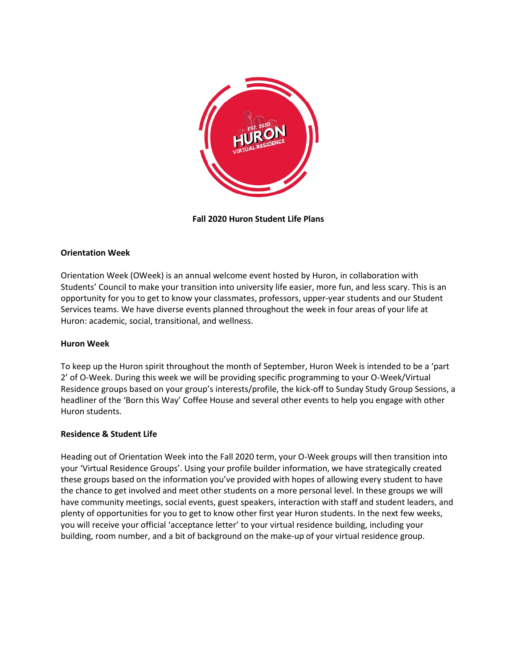

**Fall 2020 Huron Student Life Plans**

# **Orientation Week**

Orientation Week (OWeek) is an annual welcome event hosted by Huron, in collaboration with Students' Council to make your transition into university life easier, more fun, and less scary. This is an opportunity for you to get to know your classmates, professors, upper-year students and our Student Services teams. We have diverse events planned throughout the week in four areas of your life at Huron: academic, social, transitional, and wellness.

## **Huron Week**

To keep up the Huron spirit throughout the month of September, Huron Week is intended to be a 'part 2' of O-Week. During this week we will be providing specific programming to your O-Week/Virtual Residence groups based on your group's interests/profile, the kick-off to Sunday Study Group Sessions, a headliner of the 'Born this Way' Coffee House and several other events to help you engage with other Huron students.

## **Residence & Student Life**

Heading out of Orientation Week into the Fall 2020 term, your O-Week groups will then transition into your 'Virtual Residence Groups'. Using your profile builder information, we have strategically created these groups based on the information you've provided with hopes of allowing every student to have the chance to get involved and meet other students on a more personal level. In these groups we will have community meetings, social events, guest speakers, interaction with staff and student leaders, and plenty of opportunities for you to get to know other first year Huron students. In the next few weeks, you will receive your official 'acceptance letter' to your virtual residence building, including your building, room number, and a bit of background on the make-up of your virtual residence group.